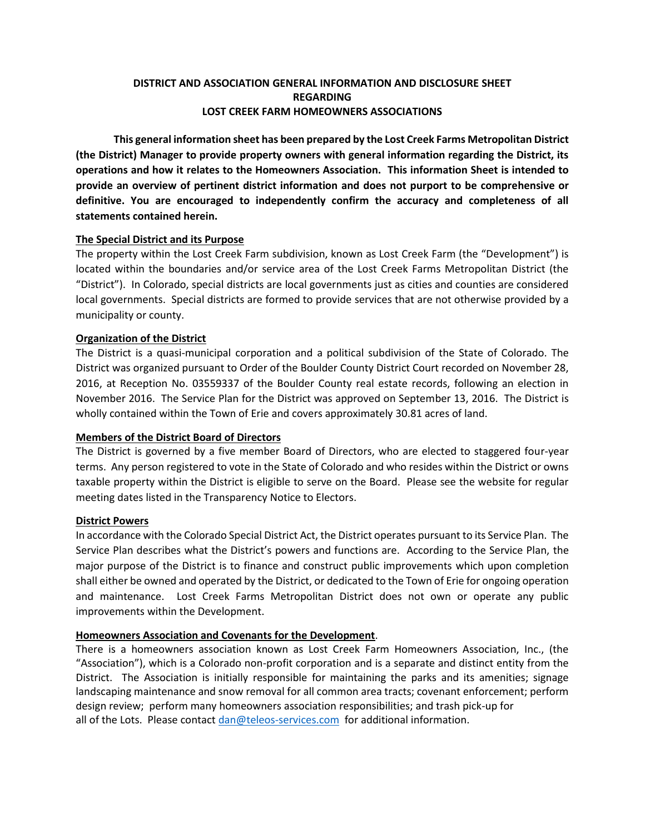## **DISTRICT AND ASSOCIATION GENERAL INFORMATION AND DISCLOSURE SHEET REGARDING LOST CREEK FARM HOMEOWNERS ASSOCIATIONS**

**This general information sheet has been prepared by the Lost Creek Farms Metropolitan District (the District) Manager to provide property owners with general information regarding the District, its operations and how it relates to the Homeowners Association. This information Sheet is intended to provide an overview of pertinent district information and does not purport to be comprehensive or definitive. You are encouraged to independently confirm the accuracy and completeness of all statements contained herein.** 

## **The Special District and its Purpose**

The property within the Lost Creek Farm subdivision, known as Lost Creek Farm (the "Development") is located within the boundaries and/or service area of the Lost Creek Farms Metropolitan District (the "District"). In Colorado, special districts are local governments just as cities and counties are considered local governments. Special districts are formed to provide services that are not otherwise provided by a municipality or county.

## **Organization of the District**

The District is a quasi-municipal corporation and a political subdivision of the State of Colorado. The District was organized pursuant to Order of the Boulder County District Court recorded on November 28, 2016, at Reception No. 03559337 of the Boulder County real estate records, following an election in November 2016. The Service Plan for the District was approved on September 13, 2016. The District is wholly contained within the Town of Erie and covers approximately 30.81 acres of land.

## **Members of the District Board of Directors**

The District is governed by a five member Board of Directors, who are elected to staggered four-year terms. Any person registered to vote in the State of Colorado and who resides within the District or owns taxable property within the District is eligible to serve on the Board. Please see the website for regular meeting dates listed in the Transparency Notice to Electors.

#### **District Powers**

In accordance with the Colorado Special District Act, the District operates pursuant to its Service Plan. The Service Plan describes what the District's powers and functions are. According to the Service Plan, the major purpose of the District is to finance and construct public improvements which upon completion shall either be owned and operated by the District, or dedicated to the Town of Erie for ongoing operation and maintenance. Lost Creek Farms Metropolitan District does not own or operate any public improvements within the Development.

#### **Homeowners Association and Covenants for the Development**.

There is a homeowners association known as Lost Creek Farm Homeowners Association, Inc., (the "Association"), which is a Colorado non-profit corporation and is a separate and distinct entity from the District. The Association is initially responsible for maintaining the parks and its amenities; signage landscaping maintenance and snow removal for all common area tracts; covenant enforcement; perform design review; perform many homeowners association responsibilities; and trash pick-up for all of the Lots. Please contact  $\text{dan@teleos-services.com}$  for additional information.